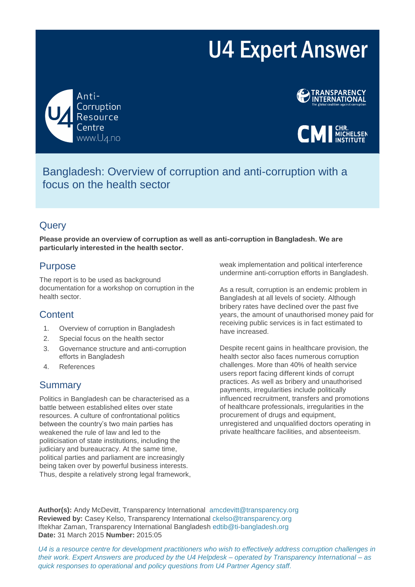# U4 Expert Answer





**CMI** MICHELSEN

Bangladesh: Overview of corruption and anti-corruption with a focus on the health sector

# **Query**

**Please provide an overview of corruption as well as anti-corruption in Bangladesh. We are particularly interested in the health sector.**

# Purpose

The report is to be used as background documentation for a workshop on corruption in the health sector.

# **Content**

- 1. Overview of corruption in Bangladesh
- 2. Special focus on the health sector
- 3. Governance structure and anti-corruption efforts in Bangladesh
- 4. References

# Summary

Politics in Bangladesh can be characterised as a battle between established elites over state resources. A culture of confrontational politics between the country's two main parties has weakened the rule of law and led to the politicisation of state institutions, including the judiciary and bureaucracy. At the same time, political parties and parliament are increasingly being taken over by powerful business interests. Thus, despite a relatively strong legal framework, weak implementation and political interference undermine anti-corruption efforts in Bangladesh.

As a result, corruption is an endemic problem in Bangladesh at all levels of society. Although bribery rates have declined over the past five years, the amount of unauthorised money paid for receiving public services is in fact estimated to have increased.

Despite recent gains in healthcare provision, the health sector also faces numerous corruption challenges. More than 40% of health service users report facing different kinds of corrupt practices. As well as bribery and unauthorised payments, irregularities include politically influenced recruitment, transfers and promotions of healthcare professionals, irregularities in the procurement of drugs and equipment, unregistered and unqualified doctors operating in private healthcare facilities, and absenteeism.

**Author(s):** Andy McDevitt, Transparency International amcdevitt@transparency.org **Reviewed by:** Casey Kelso, Transparency International ckelso@transparency.org Iftekhar Zaman, Transparency International Bangladesh edtib@ti-bangladesh.org **Date:** 31 March 2015 **Number:** 2015:05

*U4 is a resource centre for development practitioners who wish to effectively address corruption challenges in their work. Expert Answers are produced by the U4 Helpdesk – operated by Transparency International – as quick responses to operational and policy questions from U4 Partner Agency staff.*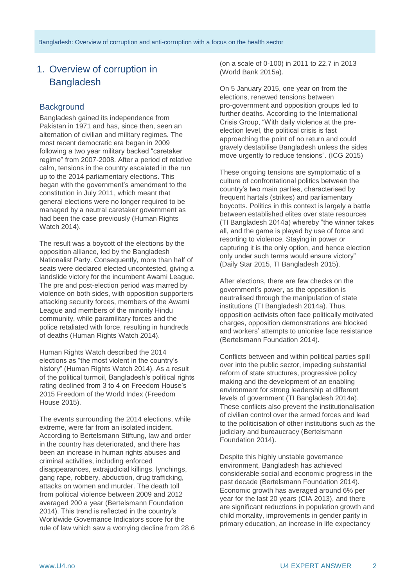# 1. Overview of corruption in **Bangladesh**

## **Background**

Bangladesh gained its independence from Pakistan in 1971 and has, since then, seen an alternation of civilian and military regimes. The most recent democratic era began in 2009 following a two year military backed "caretaker regime" from 2007-2008. After a period of relative calm, tensions in the country escalated in the run up to the 2014 parliamentary elections. This began with the government's amendment to the constitution in July 2011, which meant that general elections were no longer required to be managed by a neutral caretaker government as had been the case previously (Human Rights Watch 2014).

The result was a boycott of the elections by the opposition alliance, led by the Bangladesh Nationalist Party. Consequently, more than half of seats were declared elected uncontested, giving a landslide victory for the incumbent Awami League. The pre and post-election period was marred by violence on both sides, with opposition supporters attacking security forces, members of the Awami League and members of the minority Hindu community, while paramilitary forces and the police retaliated with force, resulting in hundreds of deaths (Human Rights Watch 2014).

Human Rights Watch described the 2014 elections as "the most violent in the country's history" (Human Rights Watch 2014). As a result of the political turmoil, Bangladesh's political rights rating declined from 3 to 4 on Freedom House's 2015 Freedom of the World Index (Freedom House 2015).

The events surrounding the 2014 elections, while extreme, were far from an isolated incident. According to Bertelsmann Stiftung, law and order in the country has deteriorated, and there has been an increase in human rights abuses and criminal activities, including enforced disappearances, extrajudicial killings, lynchings, gang rape, robbery, abduction, drug trafficking, attacks on women and murder. The death toll from political violence between 2009 and 2012 averaged 200 a year (Bertelsmann Foundation 2014). This trend is reflected in the country's Worldwide Governance Indicators score for the rule of law which saw a worrying decline from 28.6 (on a scale of 0-100) in 2011 to 22.7 in 2013 (World Bank 2015a).

On 5 January 2015, one year on from the elections, renewed tensions between pro-government and opposition groups led to further deaths. According to the International Crisis Group, "With daily violence at the preelection level, the political crisis is fast approaching the point of no return and could gravely destabilise Bangladesh unless the sides move urgently to reduce tensions". (ICG 2015)

These ongoing tensions are symptomatic of a culture of confrontational politics between the country's two main parties, characterised by frequent hartals (strikes) and parliamentary boycotts. Politics in this context is largely a battle between established elites over state resources (TI Bangladesh 2014a) whereby "the winner takes all, and the game is played by use of force and resorting to violence. Staying in power or capturing it is the only option, and hence election only under such terms would ensure victory" (Daily Star 2015, TI Bangladesh 2015).

After elections, there are few checks on the government's power, as the opposition is neutralised through the manipulation of state institutions (TI Bangladesh 2014a). Thus, opposition activists often face politically motivated charges, opposition demonstrations are blocked and workers' attempts to unionise face resistance (Bertelsmann Foundation 2014).

Conflicts between and within political parties spill over into the public sector, impeding substantial reform of state structures, progressive policy making and the development of an enabling environment for strong leadership at different levels of government (TI Bangladesh 2014a). These conflicts also prevent the institutionalisation of civilian control over the armed forces and lead to the politicisation of other institutions such as the judiciary and bureaucracy (Bertelsmann Foundation 2014).

Despite this highly unstable governance environment, Bangladesh has achieved considerable social and economic progress in the past decade (Bertelsmann Foundation 2014). Economic growth has averaged around 6% per year for the last 20 years (CIA 2013), and there are significant reductions in population growth and child mortality, improvements in gender parity in primary education, an increase in life expectancy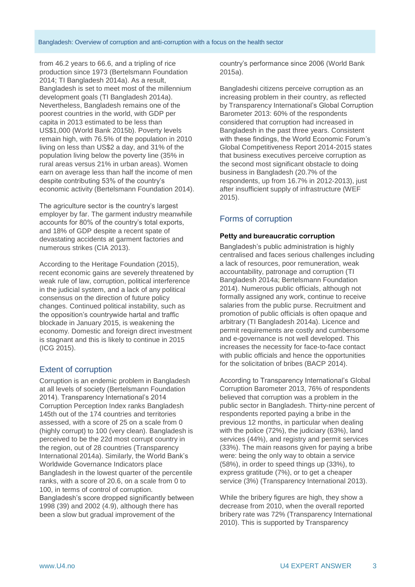from 46.2 years to 66.6, and a tripling of rice production since 1973 (Bertelsmann Foundation 2014; TI Bangladesh 2014a). As a result, Bangladesh is set to meet most of the millennium development goals (TI Bangladesh 2014a). Nevertheless, Bangladesh remains one of the poorest countries in the world, with GDP per capita in 2013 estimated to be less than US\$1,000 (World Bank 2015b). Poverty levels remain high, with 76.5% of the population in 2010 living on less than US\$2 a day, and 31% of the population living below the poverty line (35% in rural areas versus 21% in urban areas). Women earn on average less than half the income of men despite contributing 53% of the country's economic activity (Bertelsmann Foundation 2014).

The agriculture sector is the country's largest employer by far. The garment industry meanwhile accounts for 80% of the country's total exports, and 18% of GDP despite a recent spate of devastating accidents at garment factories and numerous strikes (CIA 2013).

According to the Heritage Foundation (2015), recent economic gains are severely threatened by weak rule of law, corruption, political interference in the judicial system, and a lack of any political consensus on the direction of future policy changes. Continued political instability, such as the opposition's countrywide hartal and traffic blockade in January 2015, is weakening the economy. Domestic and foreign direct investment is stagnant and this is likely to continue in 2015 (ICG 2015).

## Extent of corruption

Corruption is an endemic problem in Bangladesh at all levels of society (Bertelsmann Foundation 2014). Transparency International's 2014 Corruption Perception Index ranks Bangladesh 145th out of the 174 countries and territories assessed, with a score of 25 on a scale from 0 (highly corrupt) to 100 (very clean). Bangladesh is perceived to be the 22d most corrupt country in the region, out of 28 countries (Transparency International 2014a). Similarly, the World Bank's Worldwide Governance Indicators place Bangladesh in the lowest quarter of the percentile ranks, with a score of 20.6, on a scale from 0 to 100, in terms of control of corruption. Bangladesh's score dropped significantly between 1998 (39) and 2002 (4.9), although there has been a slow but gradual improvement of the

country's performance since 2006 (World Bank 2015a).

Bangladeshi citizens perceive corruption as an increasing problem in their country, as reflected by Transparency International's Global Corruption Barometer 2013: 60% of the respondents considered that corruption had increased in Bangladesh in the past three years. Consistent with these findings, the World Economic Forum's Global Competitiveness Report 2014-2015 states that business executives perceive corruption as the second most significant obstacle to doing business in Bangladesh (20.7% of the respondents, up from 16.7% in 2012-2013), just after insufficient supply of infrastructure (WEF 2015).

## Forms of corruption

#### **Petty and bureaucratic corruption**

Bangladesh's public administration is highly centralised and faces serious challenges including a lack of resources, poor remuneration, weak accountability, patronage and corruption (TI Bangladesh 2014a; Bertelsmann Foundation 2014). Numerous public officials, although not formally assigned any work, continue to receive salaries from the public purse. Recruitment and promotion of public officials is often opaque and arbitrary (TI Bangladesh 2014a). Licence and permit requirements are costly and cumbersome and e-governance is not well developed. This increases the necessity for face-to-face contact with public officials and hence the opportunities for the solicitation of bribes (BACP 2014).

According to Transparency International's Global Corruption Barometer 2013, 76% of respondents believed that corruption was a problem in the public sector in Bangladesh. Thirty-nine percent of respondents reported paying a bribe in the previous 12 months, in particular when dealing with the police (72%), the judiciary (63%), land services (44%), and registry and permit services (33%). The main reasons given for paying a bribe were: being the only way to obtain a service (58%), in order to speed things up (33%), to express gratitude (7%), or to get a cheaper service (3%) (Transparency International 2013).

While the bribery figures are high, they show a decrease from 2010, when the overall reported bribery rate was 72% (Transparency International 2010). This is supported by Transparency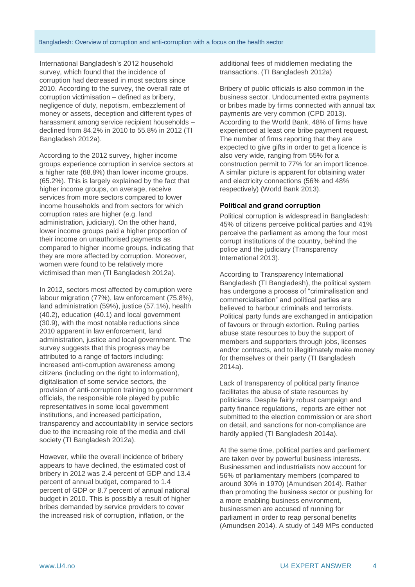International Bangladesh's 2012 household survey, which found that the incidence of corruption had decreased in most sectors since 2010. According to the survey, the overall rate of corruption victimisation – defined as bribery, negligence of duty, nepotism, embezzlement of money or assets, deception and different types of harassment among service recipient households – declined from 84.2% in 2010 to 55.8% in 2012 (TI Bangladesh 2012a).

According to the 2012 survey, higher income groups experience corruption in service sectors at a higher rate (68.8%) than lower income groups. (65.2%). This is largely explained by the fact that higher income groups, on average, receive services from more sectors compared to lower income households and from sectors for which corruption rates are higher (e.g. land administration, judiciary). On the other hand, lower income groups paid a higher proportion of their income on unauthorised payments as compared to higher income groups, indicating that they are more affected by corruption. Moreover, women were found to be relatively more victimised than men (TI Bangladesh 2012a).

In 2012, sectors most affected by corruption were labour migration (77%), law enforcement (75.8%), land administration (59%), justice (57.1%), health (40.2), education (40.1) and local government (30.9), with the most notable reductions since 2010 apparent in law enforcement, land administration, justice and local government. The survey suggests that this progress may be attributed to a range of factors including: increased anti-corruption awareness among citizens (including on the right to information), digitalisation of some service sectors, the provision of anti-corruption training to government officials, the responsible role played by public representatives in some local government institutions, and increased participation, transparency and accountability in service sectors due to the increasing role of the media and civil society (TI Bangladesh 2012a).

However, while the overall incidence of bribery appears to have declined, the estimated cost of bribery in 2012 was 2.4 percent of GDP and 13.4 percent of annual budget, compared to 1.4 percent of GDP or 8.7 percent of annual national budget in 2010. This is possibly a result of higher bribes demanded by service providers to cover the increased risk of corruption, inflation, or the

additional fees of middlemen mediating the transactions. (TI Bangladesh 2012a)

Bribery of public officials is also common in the business sector. Undocumented extra payments or bribes made by firms connected with annual tax payments are very common (CPD 2013). According to the World Bank, 48% of firms have experienced at least one bribe payment request. The number of firms reporting that they are expected to give gifts in order to get a licence is also very wide, ranging from 55% for a construction permit to 77% for an import licence. A similar picture is apparent for obtaining water and electricity connections (56% and 48% respectively) (World Bank 2013).

#### **Political and grand corruption**

Political corruption is widespread in Bangladesh: 45% of citizens perceive political parties and 41% perceive the parliament as among the four most corrupt institutions of the country, behind the police and the judiciary (Transparency International 2013).

According to Transparency International Bangladesh (TI Bangladesh), the political system has undergone a process of "criminalisation and commercialisation" and political parties are believed to harbour criminals and terrorists. Political party funds are exchanged in anticipation of favours or through extortion. Ruling parties abuse state resources to buy the support of members and supporters through jobs, licenses and/or contracts, and to illegitimately make money for themselves or their party (TI Bangladesh 2014a).

Lack of transparency of political party finance facilitates the abuse of state resources by politicians. Despite fairly robust campaign and party finance regulations, reports are either not submitted to the election commission or are short on detail, and sanctions for non-compliance are hardly applied (TI Bangladesh 2014a).

At the same time, political parties and parliament are taken over by powerful business interests. Businessmen and industrialists now account for 56% of parliamentary members (compared to around 30% in 1970) (Amundsen 2014). Rather than promoting the business sector or pushing for a more enabling business environment, businessmen are accused of running for parliament in order to reap personal benefits (Amundsen 2014). A study of 149 MPs conducted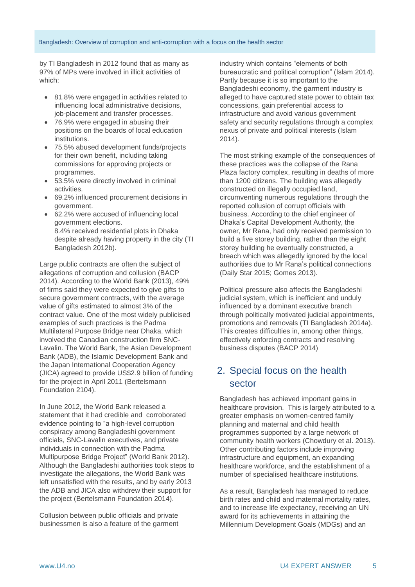by TI Bangladesh in 2012 found that as many as 97% of MPs were involved in illicit activities of which:

- 81.8% were engaged in activities related to influencing local administrative decisions, job-placement and transfer processes.
- 76.9% were engaged in abusing their positions on the boards of local education institutions.
- 75.5% abused development funds/projects for their own benefit, including taking commissions for approving projects or programmes.
- 53.5% were directly involved in criminal activities.
- 69.2% influenced procurement decisions in government.
- 62.2% were accused of influencing local government elections. 8.4% received residential plots in Dhaka despite already having property in the city (TI Bangladesh 2012b).

Large public contracts are often the subject of allegations of corruption and collusion (BACP 2014). According to the World Bank (2013), 49% of firms said they were expected to give gifts to secure government contracts, with the average value of gifts estimated to almost 3% of the contract value. One of the most widely publicised examples of such practices is the Padma Multilateral Purpose Bridge near Dhaka, which involved the Canadian construction firm SNC-Lavalin. The World Bank, the Asian Development Bank (ADB), the Islamic Development Bank and the Japan International Cooperation Agency (JICA) agreed to provide US\$2.9 billion of funding for the project in April 2011 (Bertelsmann Foundation 2104).

In June 2012, the World Bank released a statement that it had credible and corroborated evidence pointing to "a high-level corruption conspiracy among Bangladeshi government officials, SNC-Lavalin executives, and private individuals in connection with the Padma Multipurpose Bridge Project" (World Bank 2012). Although the Bangladeshi authorities took steps to investigate the allegations, the World Bank was left unsatisfied with the results, and by early 2013 the ADB and JICA also withdrew their support for the project (Bertelsmann Foundation 2014).

Collusion between public officials and private businessmen is also a feature of the garment industry which contains "elements of both bureaucratic and political corruption" (Islam 2014). Partly because it is so important to the Bangladeshi economy, the garment industry is alleged to have captured state power to obtain tax concessions, gain preferential access to infrastructure and avoid various government safety and security regulations through a complex nexus of private and political interests (Islam 2014).

The most striking example of the consequences of these practices was the collapse of the Rana Plaza factory complex, resulting in deaths of more than 1200 citizens. The building was allegedly constructed on illegally occupied land, circumventing numerous regulations through the reported collusion of corrupt officials with business. According to the chief engineer of Dhaka's Capital Development Authority, the owner, Mr Rana, had only received permission to build a five storey building, rather than the eight storey building he eventually constructed, a breach which was allegedly ignored by the local authorities due to Mr Rana's political connections (Daily Star 2015; Gomes 2013).

Political pressure also affects the Bangladeshi judicial system, which is inefficient and unduly influenced by a dominant executive branch through politically motivated judicial appointments, promotions and removals (TI Bangladesh 2014a). This creates difficulties in, among other things, effectively enforcing contracts and resolving business disputes (BACP 2014)

# 2. Special focus on the health sector

Bangladesh has achieved important gains in healthcare provision. This is largely attributed to a greater emphasis on women-centred family planning and maternal and child health programmes supported by a large network of community health workers (Chowdury et al. 2013). Other contributing factors include improving infrastructure and equipment, an expanding healthcare workforce, and the establishment of a number of specialised healthcare institutions.

As a result, Bangladesh has managed to reduce birth rates and child and maternal mortality rates, and to increase life expectancy, receiving an UN award for its achievements in attaining the Millennium Development Goals (MDGs) and an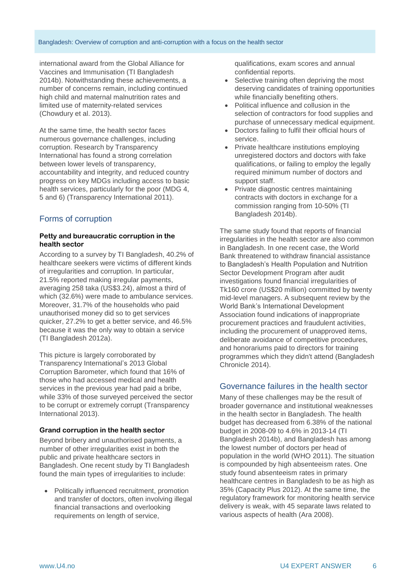#### Bangladesh: Overview of corruption and anti-corruption with a focus on the health sector

international award from the Global Alliance for Vaccines and Immunisation (TI Bangladesh 2014b). Notwithstanding these achievements, a number of concerns remain, including continued high child and maternal malnutrition rates and limited use of maternity-related services (Chowdury et al. 2013).

At the same time, the health sector faces numerous governance challenges, including corruption. Research by Transparency International has found a strong correlation between lower levels of transparency, accountability and integrity, and reduced country progress on key MDGs including access to basic health services, particularly for the poor (MDG 4, 5 and 6) (Transparency International 2011).

## Forms of corruption

#### **Petty and bureaucratic corruption in the health sector**

According to a survey by TI Bangladesh, 40.2% of healthcare seekers were victims of different kinds of irregularities and corruption. In particular, 21.5% reported making irregular payments, averaging 258 taka (US\$3.24), almost a third of which (32.6%) were made to ambulance services. Moreover, 31.7% of the households who paid unauthorised money did so to get services quicker, 27.2% to get a better service, and 46.5% because it was the only way to obtain a service (TI Bangladesh 2012a).

This picture is largely corroborated by Transparency International's 2013 Global Corruption Barometer, which found that 16% of those who had accessed medical and health services in the previous year had paid a bribe, while 33% of those surveyed perceived the sector to be corrupt or extremely corrupt (Transparency International 2013).

#### **Grand corruption in the health sector**

Beyond bribery and unauthorised payments, a number of other irregularities exist in both the public and private healthcare sectors in Bangladesh. One recent study by TI Bangladesh found the main types of irregularities to include:

 Politically influenced recruitment, promotion and transfer of doctors, often involving illegal financial transactions and overlooking requirements on length of service.

qualifications, exam scores and annual confidential reports.

- Selective training often depriving the most deserving candidates of training opportunities while financially benefiting others.
- Political influence and collusion in the selection of contractors for food supplies and purchase of unnecessary medical equipment.
- Doctors failing to fulfil their official hours of service.
- Private healthcare institutions employing unregistered doctors and doctors with fake qualifications, or failing to employ the legally required minimum number of doctors and support staff.
- Private diagnostic centres maintaining contracts with doctors in exchange for a commission ranging from 10-50% (TI Bangladesh 2014b).

The same study found that reports of financial irregularities in the health sector are also common in Bangladesh. In one recent case, the World Bank threatened to withdraw financial assistance to Bangladesh's Health Population and Nutrition Sector Development Program after audit investigations found financial irregularities of Tk160 crore (US\$20 million) committed by twenty mid-level managers. A subsequent review by the World Bank's International Development Association found indications of inappropriate procurement practices and fraudulent activities, including the procurement of unapproved items, deliberate avoidance of competitive procedures, and honorariums paid to directors for training programmes which they didn't attend (Bangladesh Chronicle 2014).

## Governance failures in the health sector

Many of these challenges may be the result of broader governance and institutional weaknesses in the health sector in Bangladesh. The health budget has decreased from 6.38% of the national budget in 2008-09 to 4.6% in 2013-14 (TI Bangladesh 2014b), and Bangladesh has among the lowest number of doctors per head of population in the world (WHO 2011). The situation is compounded by high absenteeism rates. One study found absenteeism rates in primary healthcare centres in Bangladesh to be as high as 35% (Capacity Plus 2012). At the same time, the regulatory framework for monitoring health service delivery is weak, with 45 separate laws related to various aspects of health (Ara 2008).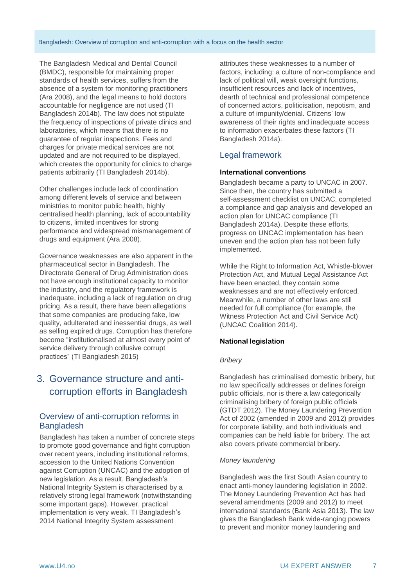The Bangladesh Medical and Dental Council (BMDC), responsible for maintaining proper standards of health services, suffers from the absence of a system for monitoring practitioners (Ara 2008), and the legal means to hold doctors accountable for negligence are not used (TI Bangladesh 2014b). The law does not stipulate the frequency of inspections of private clinics and laboratories, which means that there is no guarantee of regular inspections. Fees and charges for private medical services are not updated and are not required to be displayed, which creates the opportunity for clinics to charge patients arbitrarily (TI Bangladesh 2014b).

Other challenges include lack of coordination among different levels of service and between ministries to monitor public health, highly centralised health planning, lack of accountability to citizens, limited incentives for strong performance and widespread mismanagement of drugs and equipment (Ara 2008).

Governance weaknesses are also apparent in the pharmaceutical sector in Bangladesh. The Directorate General of Drug Administration does not have enough institutional capacity to monitor the industry, and the regulatory framework is inadequate, including a lack of regulation on drug pricing. As a result, there have been allegations that some companies are producing fake, low quality, adulterated and inessential drugs, as well as selling expired drugs. Corruption has therefore become "institutionalised at almost every point of service delivery through collusive corrupt practices" (TI Bangladesh 2015)

# 3. Governance structure and anticorruption efforts in Bangladesh

## Overview of anti-corruption reforms in **Bangladesh**

Bangladesh has taken a number of concrete steps to promote good governance and fight corruption over recent years, including institutional reforms, accession to the United Nations Convention against Corruption (UNCAC) and the adoption of new legislation. As a result, Bangladesh's National Integrity System is characterised by a relatively strong legal framework (notwithstanding some important gaps). However, practical implementation is very weak. TI Bangladesh's 2014 National Integrity System assessment

attributes these weaknesses to a number of factors, including: a culture of non-compliance and lack of political will, weak oversight functions, insufficient resources and lack of incentives, dearth of technical and professional competence of concerned actors, politicisation, nepotism, and a culture of impunity/denial. Citizens' low awareness of their rights and inadequate access to information exacerbates these factors (TI Bangladesh 2014a).

# Legal framework

#### **International conventions**

Bangladesh became a party to UNCAC in 2007. Since then, the country has submitted a self-assessment checklist on UNCAC, completed a compliance and gap analysis and developed an action plan for UNCAC compliance (TI Bangladesh 2014a). Despite these efforts, progress on UNCAC implementation has been uneven and the action plan has not been fully implemented.

While the Right to Information Act, Whistle-blower Protection Act, and Mutual Legal Assistance Act have been enacted, they contain some weaknesses and are not effectively enforced. Meanwhile, a number of other laws are still needed for full compliance (for example, the Witness Protection Act and Civil Service Act) (UNCAC Coalition 2014).

#### **National legislation**

#### *Bribery*

Bangladesh has criminalised domestic bribery, but no law specifically addresses or defines foreign public officials, nor is there a law categorically criminalising bribery of foreign public officials (GTDT 2012). The Money Laundering Prevention Act of 2002 (amended in 2009 and 2012) provides for corporate liability, and both individuals and companies can be held liable for bribery. The act also covers private commercial bribery.

#### *Money laundering*

Bangladesh was the first South Asian country to enact anti-money laundering legislation in 2002. The Money Laundering Prevention Act has had several amendments (2009 and 2012) to meet international standards (Bank Asia 2013). The law gives the Bangladesh Bank wide-ranging powers to prevent and monitor money laundering and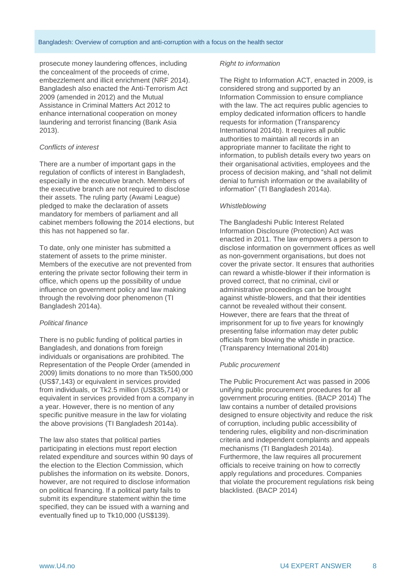prosecute money laundering offences, including the concealment of the proceeds of crime, embezzlement and illicit enrichment (NRF 2014). Bangladesh also enacted the Anti-Terrorism Act 2009 (amended in 2012) and the Mutual Assistance in Criminal Matters Act 2012 to enhance international cooperation on money laundering and terrorist financing (Bank Asia 2013).

#### *Conflicts of interest*

There are a number of important gaps in the regulation of conflicts of interest in Bangladesh, especially in the executive branch. Members of the executive branch are not required to disclose their assets. The ruling party (Awami League) pledged to make the declaration of assets mandatory for members of parliament and all cabinet members following the 2014 elections, but this has not happened so far.

To date, only one minister has submitted a statement of assets to the prime minister. Members of the executive are not prevented from entering the private sector following their term in office, which opens up the possibility of undue influence on government policy and law making through the revolving door phenomenon (TI Bangladesh 2014a).

#### *Political finance*

There is no public funding of political parties in Bangladesh, and donations from foreign individuals or organisations are prohibited. The Representation of the People Order (amended in 2009) limits donations to no more than Tk500,000 (US\$7,143) or equivalent in services provided from individuals, or Tk2.5 million (US\$35,714) or equivalent in services provided from a company in a year. However, there is no mention of any specific punitive measure in the law for violating the above provisions (TI Bangladesh 2014a).

The law also states that political parties participating in elections must report election related expenditure and sources within 90 days of the election to the Election Commission, which publishes the information on its website. Donors, however, are not required to disclose information on political financing. If a political party fails to submit its expenditure statement within the time specified, they can be issued with a warning and eventually fined up to Tk10,000 (US\$139).

#### *Right to information*

The Right to Information ACT, enacted in 2009, is considered strong and supported by an Information Commission to ensure compliance with the law. The act requires public agencies to employ dedicated information officers to handle requests for information (Transparency International 2014b). It requires all public authorities to maintain all records in an appropriate manner to facilitate the right to information, to publish details every two years on their organisational activities, employees and the process of decision making, and "shall not delimit denial to furnish information or the availability of information" (TI Bangladesh 2014a).

#### *Whistleblowing*

The Bangladeshi Public Interest Related Information Disclosure (Protection) Act was enacted in 2011. The law empowers a person to disclose information on government offices as well as non-government organisations, but does not cover the private sector. It ensures that authorities can reward a whistle-blower if their information is proved correct, that no criminal, civil or administrative proceedings can be brought against whistle-blowers, and that their identities cannot be revealed without their consent. However, there are fears that the threat of imprisonment for up to five years for knowingly presenting false information may deter public officials from blowing the whistle in practice. (Transparency International 2014b)

#### *Public procurement*

The Public Procurement Act was passed in 2006 unifying public procurement procedures for all government procuring entities. (BACP 2014) The law contains a number of detailed provisions designed to ensure objectivity and reduce the risk of corruption, including public accessibility of tendering rules, eligibility and non-discrimination criteria and independent complaints and appeals mechanisms (TI Bangladesh 2014a). Furthermore, the law requires all procurement officials to receive training on how to correctly apply regulations and procedures. Companies that violate the procurement regulations risk being blacklisted. (BACP 2014)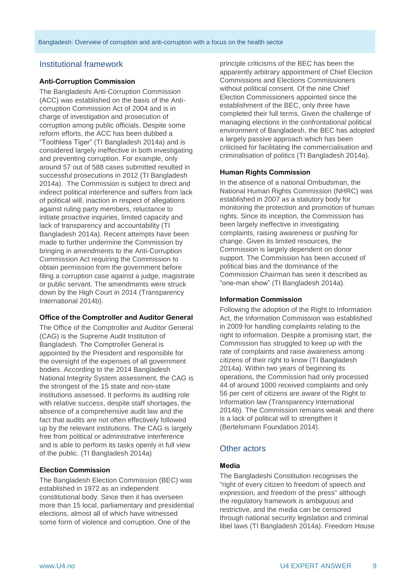## Institutional framework

#### **Anti-Corruption Commission**

The Bangladeshi Anti-Corruption Commission (ACC) was established on the basis of the Anticorruption Commission Act of 2004 and is in charge of investigation and prosecution of corruption among public officials. Despite some reform efforts, the ACC has been dubbed a "Toothless Tiger" (TI Bangladesh 2014a) and is considered largely ineffective in both investigating and preventing corruption. For example, only around 57 out of 588 cases submitted resulted in successful prosecutions in 2012 (TI Bangladesh 2014a). The Commission is subject to direct and indirect political interference and suffers from lack of political will, inaction in respect of allegations against ruling party members, reluctance to initiate proactive inquiries, limited capacity and lack of transparency and accountability (TI Bangladesh 2014a). Recent attempts have been made to further undermine the Commission by bringing in amendments to the Anti-Corruption Commission Act requiring the Commission to obtain permission from the government before filing a corruption case against a judge, magistrate or public servant. The amendments were struck down by the High Court in 2014 (Transparency International 2014b).

#### **Office of the Comptroller and Auditor General**

The Office of the Comptroller and Auditor General (CAG) is the Supreme Audit Institution of Bangladesh. The Comptroller General is appointed by the President and responsible for the oversight of the expenses of all government bodies. According to the 2014 Bangladesh National Integrity System assessment, the CAG is the strongest of the 15 state and non-state institutions assessed. It performs its auditing role with relative success, despite staff shortages, the absence of a comprehensive audit law and the fact that audits are not often effectively followed up by the relevant institutions. The CAG is largely free from political or administrative interference and is able to perform its tasks openly in full view of the public. (TI Bangladesh 2014a)

#### **Election Commission**

The Bangladesh Election Commission (BEC) was established in 1972 as an independent constitutional body. Since then it has overseen more than 15 local, parliamentary and presidential elections, almost all of which have witnessed some form of violence and corruption. One of the

principle criticisms of the BEC has been the apparently arbitrary appointment of Chief Election Commissions and Elections Commissioners without political consent. Of the nine Chief Election Commissioners appointed since the establishment of the BEC, only three have completed their full terms. Given the challenge of managing elections in the confrontational political environment of Bangladesh, the BEC has adopted a largely passive approach which has been criticised for facilitating the commercialisation and criminalisation of politics (TI Bangladesh 2014a).

#### **Human Rights Commission**

In the absence of a national Ombudsman, the National Human Rights Commission (NHRC) was established in 2007 as a statutory body for monitoring the protection and promotion of human rights. Since its inception, the Commission has been largely ineffective in investigating complaints, raising awareness or pushing for change. Given its limited resources, the Commission is largely dependent on donor support. The Commission has been accused of political bias and the dominance of the Commission Chairman has seen it described as "one-man show" (TI Bangladesh 2014a).

#### **Information Commission**

Following the adoption of the Right to Information Act, the Information Commission was established in 2009 for handling complaints relating to the right to information. Despite a promising start, the Commission has struggled to keep up with the rate of complaints and raise awareness among citizens of their right to know (TI Bangladesh 2014a). Within two years of beginning its operations, the Commission had only processed 44 of around 1000 received complaints and only 56 per cent of citizens are aware of the Right to Information law (Transparency International 2014b). The Commission remains weak and there is a lack of political will to strengthen it (Bertelsmann Foundation 2014).

## Other actors

#### **Media**

The Bangladeshi Constitution recognises the "right of every citizen to freedom of speech and expression, and freedom of the press" although the regulatory framework is ambiguous and restrictive, and the media can be censored through national security legislation and criminal libel laws (TI Bangladesh 2014a). Freedom House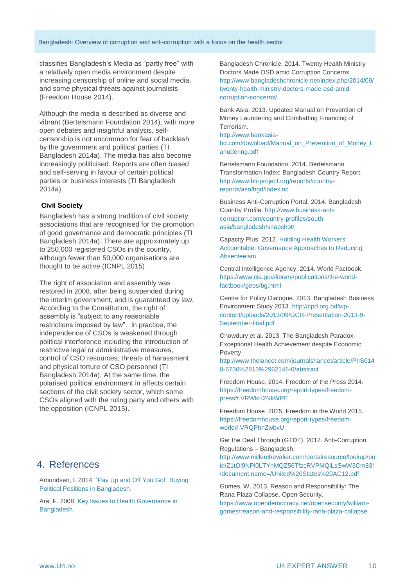classifies Bangladesh's Media as "partly free" with a relatively open media environment despite increasing censorship of online and social media, and some physical threats against journalists (Freedom House 2014).

Although the media is described as diverse and vibrant (Bertelsmann Foundation 2014), with more open debates and insightful analysis, selfcensorship is not uncommon for fear of backlash by the government and political parties (TI Bangladesh 2014a). The media has also become increasingly politicised. Reports are often biased and self-serving in favour of certain political parties or business interests (TI Bangladesh 2014a).

#### **Civil Society**

Bangladesh has a strong tradition of civil society associations that are recognised for the promotion of good governance and democratic principles (TI Bangladesh 2014a). There are approximately up to 250,000 registered CSOs in the country, although fewer than 50,000 organisations are thought to be active (ICNPL 2015)

The right of association and assembly was restored in 2008, after being suspended during the interim government, and is guaranteed by law. According to the Constitution, the right of assembly is "subject to any reasonable restrictions imposed by law". In practice, the independence of CSOs is weakened through political interference including the introduction of restrictive legal or administrative measures, control of CSO resources, threats of harassment and physical torture of CSO personnel (TI Bangladesh 2014a). At the same time, the polarised political environment in affects certain sections of the civil society sector, which some CSOs aligned with the ruling party and others with the opposition (ICNPL 2015).

# 4. References

Amundsen, I. 2014. ["Pay Up and Off You Go!"](https://books.google.de/books?id=cS1jAgAAQBAJ&pg=PA140&lpg=PA140&dq=%27Pay+Up+and+Off+You+Go!%27+Buying+Political+Positions+in+Bangladesh&source=bl&ots=hk64emaftV&sig=omR7eGKtPomp_xUlpc5wo721PHM&hl=en&sa=X&ei=3rQSVeaVKOvcywO3ioCoAQ&ved=0CC0Q6AEwAg#v=onepage&q&f=true) Buying [Political Positions](https://books.google.de/books?id=cS1jAgAAQBAJ&pg=PA140&lpg=PA140&dq=%27Pay+Up+and+Off+You+Go!%27+Buying+Political+Positions+in+Bangladesh&source=bl&ots=hk64emaftV&sig=omR7eGKtPomp_xUlpc5wo721PHM&hl=en&sa=X&ei=3rQSVeaVKOvcywO3ioCoAQ&ved=0CC0Q6AEwAg#v=onepage&q&f=true) in Bangladesh.

Ara, F. 2008. [Key Issues to Health Governance in](http://www.google.de/url?sa=t&rct=j&q=&esrc=s&source=web&cd=28&cad=rja&uact=8&ved=0CE8QFjAHOBQ&url=http%3A%2F%2Fpactu.edu.np%2Fcontents%2Fproject%2Ffiles%2Fkey_issues_to_health_governance_in_bangladesh_by_fardaus_ara.doc&ei=gBMAVeP5EsKsPbbKgcAN&usg=AFQjCNGvEy3rdlGUqEW2xAsa-kq4tH4EhQ&sig2=dKRIMtoPXIoaPfSzv82Oyg&bvm=bv.87920726,d.ZWU)  [Bangladesh.](http://www.google.de/url?sa=t&rct=j&q=&esrc=s&source=web&cd=28&cad=rja&uact=8&ved=0CE8QFjAHOBQ&url=http%3A%2F%2Fpactu.edu.np%2Fcontents%2Fproject%2Ffiles%2Fkey_issues_to_health_governance_in_bangladesh_by_fardaus_ara.doc&ei=gBMAVeP5EsKsPbbKgcAN&usg=AFQjCNGvEy3rdlGUqEW2xAsa-kq4tH4EhQ&sig2=dKRIMtoPXIoaPfSzv82Oyg&bvm=bv.87920726,d.ZWU)

Bangladesh Chronicle. 2014. Twenty Health Ministry Doctors Made OSD amid Corruption Concerns. [http://www.bangladeshchronicle.net/index.php/2014/09/](http://www.bangladeshchronicle.net/index.php/2014/09/twenty-health-ministry-doctors-made-osd-amid-corruption-concerns/) [twenty-health-ministry-doctors-made-osd-amid](http://www.bangladeshchronicle.net/index.php/2014/09/twenty-health-ministry-doctors-made-osd-amid-corruption-concerns/)[corruption-concerns/](http://www.bangladeshchronicle.net/index.php/2014/09/twenty-health-ministry-doctors-made-osd-amid-corruption-concerns/)

Bank Asia. 2013. Updated Manual on Prevention of Money Laundering and Combatting Financing of Terrorism.

[http://www.bankasia](http://www.bankasia-bd.com/download/Manual_on_Prevention_of_Money_Lanudering.pdf)[bd.com/download/Manual\\_on\\_Prevention\\_of\\_Money\\_L](http://www.bankasia-bd.com/download/Manual_on_Prevention_of_Money_Lanudering.pdf) [anudering.pdf](http://www.bankasia-bd.com/download/Manual_on_Prevention_of_Money_Lanudering.pdf)

Bertelsmann Foundation. 2014. Bertelsmann Transformation Index: Bangladesh Country Report. [http://www.bti-project.org/reports/country](http://www.bti-project.org/reports/country-reports/aso/bgd/index.nc)[reports/aso/bgd/index.nc](http://www.bti-project.org/reports/country-reports/aso/bgd/index.nc)

Business Anti-Corruption Portal. 2014. Bangladesh Country Profile. [http://www.business-anti](http://www.business-anti-corruption.com/country-profiles/south-asia/bangladesh/snapshot/)[corruption.com/country-profiles/south](http://www.business-anti-corruption.com/country-profiles/south-asia/bangladesh/snapshot/)[asia/bangladesh/snapshot/](http://www.business-anti-corruption.com/country-profiles/south-asia/bangladesh/snapshot/)

Capacity Plus. 2012. [Holding Health Workers](http://www.intrahealth.org/files/media/holding-health-workers-accountable-governance-approaches-to-reducing-absenteeism/holding-health-workers-accountable-governance-approaches-reducing-absenteeism.pdf)  [Accountable: Governance Approaches to Reducing](http://www.intrahealth.org/files/media/holding-health-workers-accountable-governance-approaches-to-reducing-absenteeism/holding-health-workers-accountable-governance-approaches-reducing-absenteeism.pdf)  [Absenteeism.](http://www.intrahealth.org/files/media/holding-health-workers-accountable-governance-approaches-to-reducing-absenteeism/holding-health-workers-accountable-governance-approaches-reducing-absenteeism.pdf)

Central Intelligence Agency. 2014. World Factbook. [https://www.cia.gov/library/publications/the-world](https://www.cia.gov/library/publications/the-world-factbook/geos/bg.html)[factbook/geos/bg.html](https://www.cia.gov/library/publications/the-world-factbook/geos/bg.html)

Centre for Policy Dialogue. 2013. Bangladesh Business Environment Study 2013. [http://cpd.org.bd/wp](http://cpd.org.bd/wp-content/uploads/2013/09/GCR-Presentation-2013-9-September-final.pdf)[content/uploads/2013/09/GCR-Presentation-2013-9-](http://cpd.org.bd/wp-content/uploads/2013/09/GCR-Presentation-2013-9-September-final.pdf) [September-final.pdf](http://cpd.org.bd/wp-content/uploads/2013/09/GCR-Presentation-2013-9-September-final.pdf)

Chowdury et al. 2013. The Bangladesh Paradox: Exceptional Health Achievement despite Economic Poverty.

[http://www.thelancet.com/journals/lancet/article/PIIS014](http://www.thelancet.com/journals/lancet/article/PIIS0140-6736%2813%2962148-0/abstract) [0-6736%2813%2962148-0/abstract](http://www.thelancet.com/journals/lancet/article/PIIS0140-6736%2813%2962148-0/abstract)

Freedom House. 2014. Freedom of the Press 2014. [https://freedomhouse.org/report-types/freedom](https://freedomhouse.org/report-types/freedom-press#.VRWkH2NkWPE)[press#.VRWkH2NkWPE](https://freedomhouse.org/report-types/freedom-press#.VRWkH2NkWPE)

Freedom House. 2015. Freedom in the World 2015. [https://freedomhouse.org/report-types/freedom](https://freedomhouse.org/report-types/freedom-world#.VRQPhnZwbvU)[world#.VRQPhnZwbvU](https://freedomhouse.org/report-types/freedom-world#.VRQPhnZwbvU)

Get the Deal Through (GTDT). 2012. Anti-Corruption Regulations – Bangladesh.

[http://www.millerchevalier.com/portalresource/lookup/po](http://www.millerchevalier.com/portalresource/lookup/poid/Z1tOl9NPl0LTYnMQZ56TfzcRVPMQiLsSwW3Cm83!/document.name=/United%20States%20AC12.pdf) [id/Z1tOl9NPl0LTYnMQZ56TfzcRVPMQiLsSwW3Cm83!](http://www.millerchevalier.com/portalresource/lookup/poid/Z1tOl9NPl0LTYnMQZ56TfzcRVPMQiLsSwW3Cm83!/document.name=/United%20States%20AC12.pdf) [/document.name=/United%20States%20AC12.pdf](http://www.millerchevalier.com/portalresource/lookup/poid/Z1tOl9NPl0LTYnMQZ56TfzcRVPMQiLsSwW3Cm83!/document.name=/United%20States%20AC12.pdf)

Gomes, W. 2013. Reason and Responsibility: The Rana Plaza Collapse, Open Security. [https://www.opendemocracy.net/opensecurity/william](https://www.opendemocracy.net/opensecurity/william-gomes/reason-and-responsibility-rana-plaza-collapse)[gomes/reason-and-responsibility-rana-plaza-collapse](https://www.opendemocracy.net/opensecurity/william-gomes/reason-and-responsibility-rana-plaza-collapse)